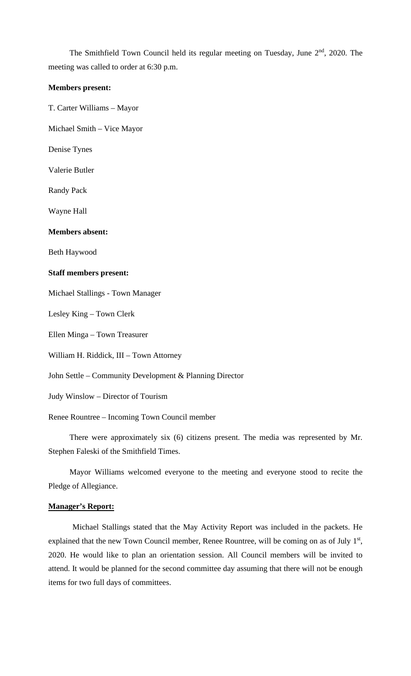The Smithfield Town Council held its regular meeting on Tuesday, June 2<sup>nd</sup>, 2020. The meeting was called to order at 6:30 p.m.

#### **Members present:**

T. Carter Williams – Mayor

Michael Smith – Vice Mayor

Denise Tynes

Valerie Butler

Randy Pack

Wayne Hall

#### **Members absent:**

Beth Haywood

#### **Staff members present:**

Michael Stallings - Town Manager

Lesley King – Town Clerk

Ellen Minga – Town Treasurer

William H. Riddick, III – Town Attorney

John Settle – Community Development & Planning Director

Judy Winslow – Director of Tourism

Renee Rountree – Incoming Town Council member

There were approximately six (6) citizens present. The media was represented by Mr. Stephen Faleski of the Smithfield Times.

Mayor Williams welcomed everyone to the meeting and everyone stood to recite the Pledge of Allegiance.

#### **Manager's Report:**

Michael Stallings stated that the May Activity Report was included in the packets. He explained that the new Town Council member, Renee Rountree, will be coming on as of July 1<sup>st</sup>, 2020. He would like to plan an orientation session. All Council members will be invited to attend. It would be planned for the second committee day assuming that there will not be enough items for two full days of committees.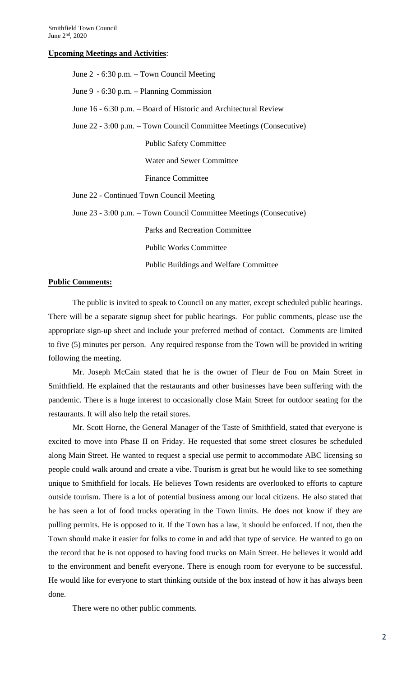#### **Upcoming Meetings and Activities**:

| June 2 - 6:30 p.m. – Town Council Meeting                           |  |  |  |
|---------------------------------------------------------------------|--|--|--|
| June 9 - 6:30 p.m. – Planning Commission                            |  |  |  |
| June 16 - 6:30 p.m. – Board of Historic and Architectural Review    |  |  |  |
| June 22 - 3:00 p.m. – Town Council Committee Meetings (Consecutive) |  |  |  |
| <b>Public Safety Committee</b>                                      |  |  |  |
| <b>Water and Sewer Committee</b>                                    |  |  |  |
| <b>Finance Committee</b>                                            |  |  |  |
| June 22 - Continued Town Council Meeting                            |  |  |  |
| June 23 - 3:00 p.m. – Town Council Committee Meetings (Consecutive) |  |  |  |
| Parks and Recreation Committee                                      |  |  |  |
| <b>Public Works Committee</b>                                       |  |  |  |
| <b>Public Buildings and Welfare Committee</b>                       |  |  |  |

#### **Public Comments:**

The public is invited to speak to Council on any matter, except scheduled public hearings. There will be a separate signup sheet for public hearings. For public comments, please use the appropriate sign-up sheet and include your preferred method of contact. Comments are limited to five (5) minutes per person. Any required response from the Town will be provided in writing following the meeting.

Mr. Joseph McCain stated that he is the owner of Fleur de Fou on Main Street in Smithfield. He explained that the restaurants and other businesses have been suffering with the pandemic. There is a huge interest to occasionally close Main Street for outdoor seating for the restaurants. It will also help the retail stores.

Mr. Scott Horne, the General Manager of the Taste of Smithfield, stated that everyone is excited to move into Phase II on Friday. He requested that some street closures be scheduled along Main Street. He wanted to request a special use permit to accommodate ABC licensing so people could walk around and create a vibe. Tourism is great but he would like to see something unique to Smithfield for locals. He believes Town residents are overlooked to efforts to capture outside tourism. There is a lot of potential business among our local citizens. He also stated that he has seen a lot of food trucks operating in the Town limits. He does not know if they are pulling permits. He is opposed to it. If the Town has a law, it should be enforced. If not, then the Town should make it easier for folks to come in and add that type of service. He wanted to go on the record that he is not opposed to having food trucks on Main Street. He believes it would add to the environment and benefit everyone. There is enough room for everyone to be successful. He would like for everyone to start thinking outside of the box instead of how it has always been done.

There were no other public comments.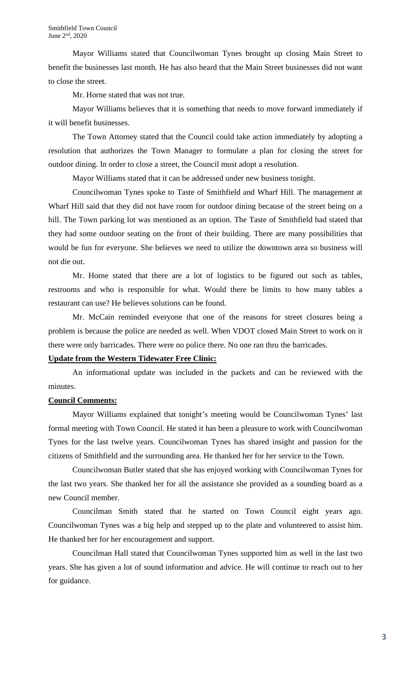Mayor Williams stated that Councilwoman Tynes brought up closing Main Street to benefit the businesses last month. He has also heard that the Main Street businesses did not want to close the street.

Mr. Horne stated that was not true.

Mayor Williams believes that it is something that needs to move forward immediately if it will benefit businesses.

The Town Attorney stated that the Council could take action immediately by adopting a resolution that authorizes the Town Manager to formulate a plan for closing the street for outdoor dining. In order to close a street, the Council must adopt a resolution.

Mayor Williams stated that it can be addressed under new business tonight.

Councilwoman Tynes spoke to Taste of Smithfield and Wharf Hill. The management at Wharf Hill said that they did not have room for outdoor dining because of the street being on a hill. The Town parking lot was mentioned as an option. The Taste of Smithfield had stated that they had some outdoor seating on the front of their building. There are many possibilities that would be fun for everyone. She believes we need to utilize the downtown area so business will not die out.

Mr. Horne stated that there are a lot of logistics to be figured out such as tables, restrooms and who is responsible for what. Would there be limits to how many tables a restaurant can use? He believes solutions can be found.

Mr. McCain reminded everyone that one of the reasons for street closures being a problem is because the police are needed as well. When VDOT closed Main Street to work on it there were only barricades. There were no police there. No one ran thru the barricades.

## **Update from the Western Tidewater Free Clinic:**

An informational update was included in the packets and can be reviewed with the minutes.

## **Council Comments:**

Mayor Williams explained that tonight's meeting would be Councilwoman Tynes' last formal meeting with Town Council. He stated it has been a pleasure to work with Councilwoman Tynes for the last twelve years. Councilwoman Tynes has shared insight and passion for the citizens of Smithfield and the surrounding area. He thanked her for her service to the Town.

Councilwoman Butler stated that she has enjoyed working with Councilwoman Tynes for the last two years. She thanked her for all the assistance she provided as a sounding board as a new Council member.

Councilman Smith stated that he started on Town Council eight years ago. Councilwoman Tynes was a big help and stepped up to the plate and volunteered to assist him. He thanked her for her encouragement and support.

Councilman Hall stated that Councilwoman Tynes supported him as well in the last two years. She has given a lot of sound information and advice. He will continue to reach out to her for guidance.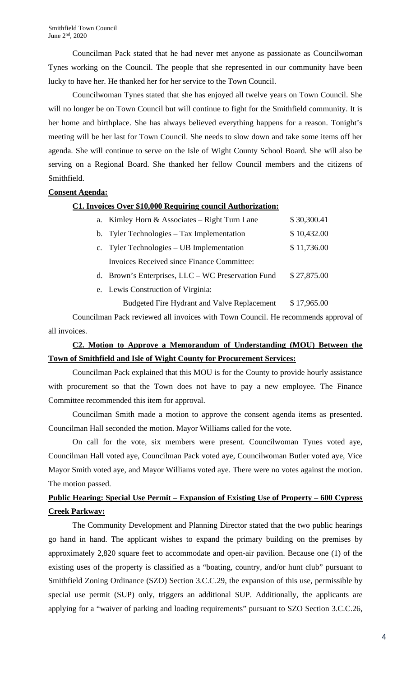Councilman Pack stated that he had never met anyone as passionate as Councilwoman Tynes working on the Council. The people that she represented in our community have been lucky to have her. He thanked her for her service to the Town Council.

Councilwoman Tynes stated that she has enjoyed all twelve years on Town Council. She will no longer be on Town Council but will continue to fight for the Smithfield community. It is her home and birthplace. She has always believed everything happens for a reason. Tonight's meeting will be her last for Town Council. She needs to slow down and take some items off her agenda. She will continue to serve on the Isle of Wight County School Board. She will also be serving on a Regional Board. She thanked her fellow Council members and the citizens of Smithfield.

## **Consent Agenda:**

### **C1. Invoices Over \$10,000 Requiring council Authorization:**

| a. Kimley Horn & Associates – Right Turn Lane      | \$30,300.41 |
|----------------------------------------------------|-------------|
| b. Tyler Technologies – Tax Implementation         | \$10,432.00 |
| c. Tyler Technologies – UB Implementation          | \$11,736.00 |
| <b>Invoices Received since Finance Committee:</b>  |             |
| d. Brown's Enterprises, LLC - WC Preservation Fund | \$27,875.00 |

e. Lewis Construction of Virginia:

Budgeted Fire Hydrant and Valve Replacement \$ 17,965.00

Councilman Pack reviewed all invoices with Town Council. He recommends approval of all invoices.

## **C2. Motion to Approve a Memorandum of Understanding (MOU) Between the Town of Smithfield and Isle of Wight County for Procurement Services:**

Councilman Pack explained that this MOU is for the County to provide hourly assistance with procurement so that the Town does not have to pay a new employee. The Finance Committee recommended this item for approval.

Councilman Smith made a motion to approve the consent agenda items as presented. Councilman Hall seconded the motion. Mayor Williams called for the vote.

On call for the vote, six members were present. Councilwoman Tynes voted aye, Councilman Hall voted aye, Councilman Pack voted aye, Councilwoman Butler voted aye, Vice Mayor Smith voted aye, and Mayor Williams voted aye. There were no votes against the motion. The motion passed.

## **Public Hearing: Special Use Permit – Expansion of Existing Use of Property – 600 Cypress Creek Parkway:**

The Community Development and Planning Director stated that the two public hearings go hand in hand. The applicant wishes to expand the primary building on the premises by approximately 2,820 square feet to accommodate and open-air pavilion. Because one (1) of the existing uses of the property is classified as a "boating, country, and/or hunt club" pursuant to Smithfield Zoning Ordinance (SZO) Section 3.C.C.29, the expansion of this use, permissible by special use permit (SUP) only, triggers an additional SUP. Additionally, the applicants are applying for a "waiver of parking and loading requirements" pursuant to SZO Section 3.C.C.26,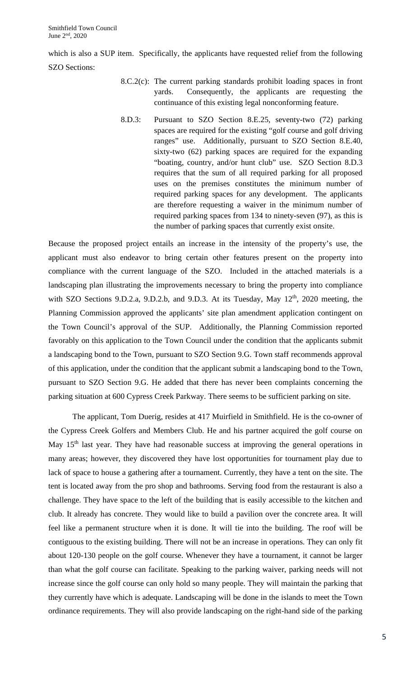which is also a SUP item. Specifically, the applicants have requested relief from the following SZO Sections:

- 8.C.2(c): The current parking standards prohibit loading spaces in front yards. Consequently, the applicants are requesting the continuance of this existing legal nonconforming feature.
- 8.D.3: Pursuant to SZO Section 8.E.25, seventy-two (72) parking spaces are required for the existing "golf course and golf driving ranges" use. Additionally, pursuant to SZO Section 8.E.40, sixty-two (62) parking spaces are required for the expanding "boating, country, and/or hunt club" use. SZO Section 8.D.3 requires that the sum of all required parking for all proposed uses on the premises constitutes the minimum number of required parking spaces for any development. The applicants are therefore requesting a waiver in the minimum number of required parking spaces from 134 to ninety-seven (97), as this is the number of parking spaces that currently exist onsite.

Because the proposed project entails an increase in the intensity of the property's use, the applicant must also endeavor to bring certain other features present on the property into compliance with the current language of the SZO. Included in the attached materials is a landscaping plan illustrating the improvements necessary to bring the property into compliance with SZO Sections 9.D.2.a, 9.D.2.b, and 9.D.3. At its Tuesday, May  $12<sup>th</sup>$ , 2020 meeting, the Planning Commission approved the applicants' site plan amendment application contingent on the Town Council's approval of the SUP. Additionally, the Planning Commission reported favorably on this application to the Town Council under the condition that the applicants submit a landscaping bond to the Town, pursuant to SZO Section 9.G. Town staff recommends approval of this application, under the condition that the applicant submit a landscaping bond to the Town, pursuant to SZO Section 9.G. He added that there has never been complaints concerning the parking situation at 600 Cypress Creek Parkway. There seems to be sufficient parking on site.

The applicant, Tom Duerig, resides at 417 Muirfield in Smithfield. He is the co-owner of the Cypress Creek Golfers and Members Club. He and his partner acquired the golf course on May  $15<sup>th</sup>$  last year. They have had reasonable success at improving the general operations in many areas; however, they discovered they have lost opportunities for tournament play due to lack of space to house a gathering after a tournament. Currently, they have a tent on the site. The tent is located away from the pro shop and bathrooms. Serving food from the restaurant is also a challenge. They have space to the left of the building that is easily accessible to the kitchen and club. It already has concrete. They would like to build a pavilion over the concrete area. It will feel like a permanent structure when it is done. It will tie into the building. The roof will be contiguous to the existing building. There will not be an increase in operations. They can only fit about 120-130 people on the golf course. Whenever they have a tournament, it cannot be larger than what the golf course can facilitate. Speaking to the parking waiver, parking needs will not increase since the golf course can only hold so many people. They will maintain the parking that they currently have which is adequate. Landscaping will be done in the islands to meet the Town ordinance requirements. They will also provide landscaping on the right-hand side of the parking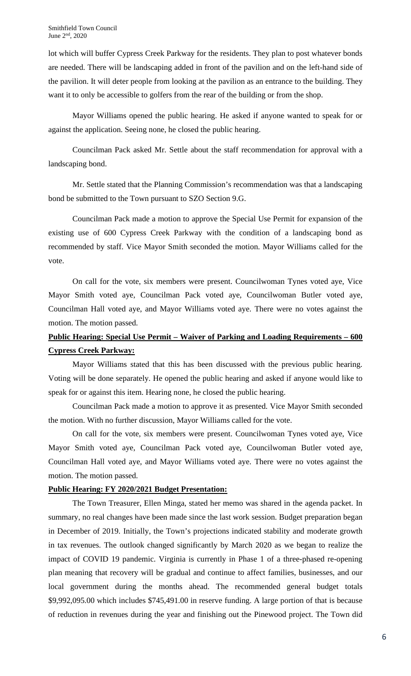lot which will buffer Cypress Creek Parkway for the residents. They plan to post whatever bonds are needed. There will be landscaping added in front of the pavilion and on the left-hand side of the pavilion. It will deter people from looking at the pavilion as an entrance to the building. They want it to only be accessible to golfers from the rear of the building or from the shop.

Mayor Williams opened the public hearing. He asked if anyone wanted to speak for or against the application. Seeing none, he closed the public hearing.

Councilman Pack asked Mr. Settle about the staff recommendation for approval with a landscaping bond.

Mr. Settle stated that the Planning Commission's recommendation was that a landscaping bond be submitted to the Town pursuant to SZO Section 9.G.

Councilman Pack made a motion to approve the Special Use Permit for expansion of the existing use of 600 Cypress Creek Parkway with the condition of a landscaping bond as recommended by staff. Vice Mayor Smith seconded the motion. Mayor Williams called for the vote.

On call for the vote, six members were present. Councilwoman Tynes voted aye, Vice Mayor Smith voted aye, Councilman Pack voted aye, Councilwoman Butler voted aye, Councilman Hall voted aye, and Mayor Williams voted aye. There were no votes against the motion. The motion passed.

## **Public Hearing: Special Use Permit – Waiver of Parking and Loading Requirements – 600 Cypress Creek Parkway:**

Mayor Williams stated that this has been discussed with the previous public hearing. Voting will be done separately. He opened the public hearing and asked if anyone would like to speak for or against this item. Hearing none, he closed the public hearing.

Councilman Pack made a motion to approve it as presented. Vice Mayor Smith seconded the motion. With no further discussion, Mayor Williams called for the vote.

On call for the vote, six members were present. Councilwoman Tynes voted aye, Vice Mayor Smith voted aye, Councilman Pack voted aye, Councilwoman Butler voted aye, Councilman Hall voted aye, and Mayor Williams voted aye. There were no votes against the motion. The motion passed.

## **Public Hearing: FY 2020/2021 Budget Presentation:**

The Town Treasurer, Ellen Minga, stated her memo was shared in the agenda packet. In summary, no real changes have been made since the last work session. Budget preparation began in December of 2019. Initially, the Town's projections indicated stability and moderate growth in tax revenues. The outlook changed significantly by March 2020 as we began to realize the impact of COVID 19 pandemic. Virginia is currently in Phase 1 of a three-phased re-opening plan meaning that recovery will be gradual and continue to affect families, businesses, and our local government during the months ahead. The recommended general budget totals \$9,992,095.00 which includes \$745,491.00 in reserve funding. A large portion of that is because of reduction in revenues during the year and finishing out the Pinewood project. The Town did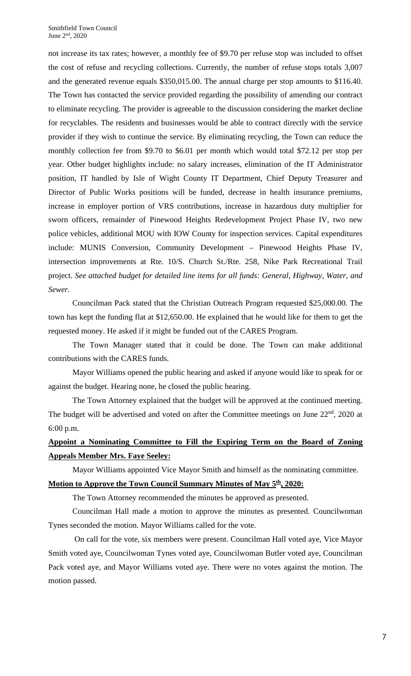not increase its tax rates; however, a monthly fee of \$9.70 per refuse stop was included to offset the cost of refuse and recycling collections. Currently, the number of refuse stops totals 3,007 and the generated revenue equals \$350,015.00. The annual charge per stop amounts to \$116.40. The Town has contacted the service provided regarding the possibility of amending our contract to eliminate recycling. The provider is agreeable to the discussion considering the market decline for recyclables. The residents and businesses would be able to contract directly with the service provider if they wish to continue the service. By eliminating recycling, the Town can reduce the monthly collection fee from \$9.70 to \$6.01 per month which would total \$72.12 per stop per year. Other budget highlights include: no salary increases, elimination of the IT Administrator position, IT handled by Isle of Wight County IT Department, Chief Deputy Treasurer and Director of Public Works positions will be funded, decrease in health insurance premiums, increase in employer portion of VRS contributions, increase in hazardous duty multiplier for sworn officers, remainder of Pinewood Heights Redevelopment Project Phase IV, two new police vehicles, additional MOU with IOW County for inspection services. Capital expenditures include: MUNIS Conversion, Community Development – Pinewood Heights Phase IV, intersection improvements at Rte. 10/S. Church St./Rte. 258, Nike Park Recreational Trail project. *See attached budget for detailed line items for all funds: General, Highway, Water, and Sewer.* 

Councilman Pack stated that the Christian Outreach Program requested \$25,000.00. The town has kept the funding flat at \$12,650.00. He explained that he would like for them to get the requested money. He asked if it might be funded out of the CARES Program.

The Town Manager stated that it could be done. The Town can make additional contributions with the CARES funds.

Mayor Williams opened the public hearing and asked if anyone would like to speak for or against the budget. Hearing none, he closed the public hearing.

The Town Attorney explained that the budget will be approved at the continued meeting. The budget will be advertised and voted on after the Committee meetings on June 22<sup>nd</sup>, 2020 at 6:00 p.m.

## **Appoint a Nominating Committee to Fill the Expiring Term on the Board of Zoning Appeals Member Mrs. Faye Seeley:**

Mayor Williams appointed Vice Mayor Smith and himself as the nominating committee.

### **Motion to Approve the Town Council Summary Minutes of May**  $5^{\underline{th}}$ **, 2020:**

The Town Attorney recommended the minutes be approved as presented.

Councilman Hall made a motion to approve the minutes as presented. Councilwoman Tynes seconded the motion. Mayor Williams called for the vote.

On call for the vote, six members were present. Councilman Hall voted aye, Vice Mayor Smith voted aye, Councilwoman Tynes voted aye, Councilwoman Butler voted aye, Councilman Pack voted aye, and Mayor Williams voted aye. There were no votes against the motion. The motion passed.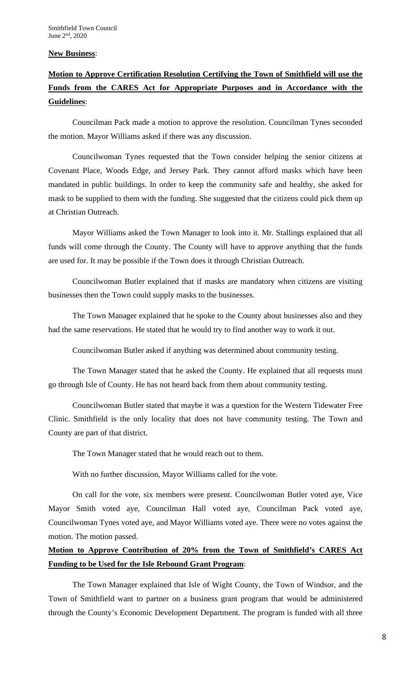### **New Business**:

# **Motion to Approve Certification Resolution Certifying the Town of Smithfield will use the Funds from the CARES Act for Appropriate Purposes and in Accordance with the Guidelines**:

Councilman Pack made a motion to approve the resolution. Councilman Tynes seconded the motion. Mayor Williams asked if there was any discussion.

Councilwoman Tynes requested that the Town consider helping the senior citizens at Covenant Place, Woods Edge, and Jersey Park. They cannot afford masks which have been mandated in public buildings. In order to keep the community safe and healthy, she asked for mask to be supplied to them with the funding. She suggested that the citizens could pick them up at Christian Outreach.

Mayor Williams asked the Town Manager to look into it. Mr. Stallings explained that all funds will come through the County. The County will have to approve anything that the funds are used for. It may be possible if the Town does it through Christian Outreach.

Councilwoman Butler explained that if masks are mandatory when citizens are visiting businesses then the Town could supply masks to the businesses.

The Town Manager explained that he spoke to the County about businesses also and they had the same reservations. He stated that he would try to find another way to work it out.

Councilwoman Butler asked if anything was determined about community testing.

The Town Manager stated that he asked the County. He explained that all requests must go through Isle of County. He has not heard back from them about community testing.

Councilwoman Butler stated that maybe it was a question for the Western Tidewater Free Clinic. Smithfield is the only locality that does not have community testing. The Town and County are part of that district.

The Town Manager stated that he would reach out to them.

With no further discussion, Mayor Williams called for the vote.

On call for the vote, six members were present. Councilwoman Butler voted aye, Vice Mayor Smith voted aye, Councilman Hall voted aye, Councilman Pack voted aye, Councilwoman Tynes voted aye, and Mayor Williams voted aye. There were no votes against the motion. The motion passed.

## **Motion to Approve Contribution of 20% from the Town of Smithfield's CARES Act Funding to be Used for the Isle Rebound Grant Program**:

The Town Manager explained that Isle of Wight County, the Town of Windsor, and the Town of Smithfield want to partner on a business grant program that would be administered through the County's Economic Development Department. The program is funded with all three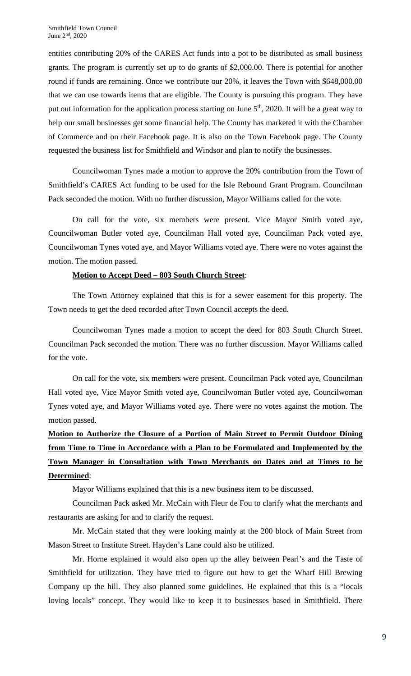entities contributing 20% of the CARES Act funds into a pot to be distributed as small business grants. The program is currently set up to do grants of \$2,000.00. There is potential for another round if funds are remaining. Once we contribute our 20%, it leaves the Town with \$648,000.00 that we can use towards items that are eligible. The County is pursuing this program. They have put out information for the application process starting on June  $5<sup>th</sup>$ , 2020. It will be a great way to help our small businesses get some financial help. The County has marketed it with the Chamber of Commerce and on their Facebook page. It is also on the Town Facebook page. The County requested the business list for Smithfield and Windsor and plan to notify the businesses.

Councilwoman Tynes made a motion to approve the 20% contribution from the Town of Smithfield's CARES Act funding to be used for the Isle Rebound Grant Program. Councilman Pack seconded the motion. With no further discussion, Mayor Williams called for the vote.

On call for the vote, six members were present. Vice Mayor Smith voted aye, Councilwoman Butler voted aye, Councilman Hall voted aye, Councilman Pack voted aye, Councilwoman Tynes voted aye, and Mayor Williams voted aye. There were no votes against the motion. The motion passed.

### **Motion to Accept Deed – 803 South Church Street**:

The Town Attorney explained that this is for a sewer easement for this property. The Town needs to get the deed recorded after Town Council accepts the deed.

Councilwoman Tynes made a motion to accept the deed for 803 South Church Street. Councilman Pack seconded the motion. There was no further discussion. Mayor Williams called for the vote.

On call for the vote, six members were present. Councilman Pack voted aye, Councilman Hall voted aye, Vice Mayor Smith voted aye, Councilwoman Butler voted aye, Councilwoman Tynes voted aye, and Mayor Williams voted aye. There were no votes against the motion. The motion passed.

# **Motion to Authorize the Closure of a Portion of Main Street to Permit Outdoor Dining from Time to Time in Accordance with a Plan to be Formulated and Implemented by the Town Manager in Consultation with Town Merchants on Dates and at Times to be Determined**:

Mayor Williams explained that this is a new business item to be discussed.

Councilman Pack asked Mr. McCain with Fleur de Fou to clarify what the merchants and restaurants are asking for and to clarify the request.

Mr. McCain stated that they were looking mainly at the 200 block of Main Street from Mason Street to Institute Street. Hayden's Lane could also be utilized.

Mr. Horne explained it would also open up the alley between Pearl's and the Taste of Smithfield for utilization. They have tried to figure out how to get the Wharf Hill Brewing Company up the hill. They also planned some guidelines. He explained that this is a "locals loving locals" concept. They would like to keep it to businesses based in Smithfield. There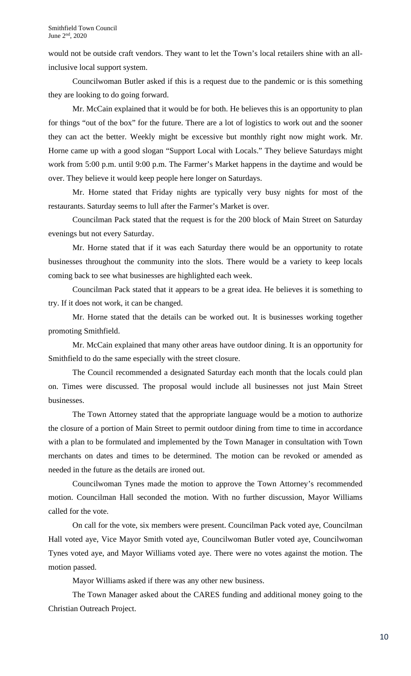would not be outside craft vendors. They want to let the Town's local retailers shine with an allinclusive local support system.

Councilwoman Butler asked if this is a request due to the pandemic or is this something they are looking to do going forward.

Mr. McCain explained that it would be for both. He believes this is an opportunity to plan for things "out of the box" for the future. There are a lot of logistics to work out and the sooner they can act the better. Weekly might be excessive but monthly right now might work. Mr. Horne came up with a good slogan "Support Local with Locals." They believe Saturdays might work from 5:00 p.m. until 9:00 p.m. The Farmer's Market happens in the daytime and would be over. They believe it would keep people here longer on Saturdays.

Mr. Horne stated that Friday nights are typically very busy nights for most of the restaurants. Saturday seems to lull after the Farmer's Market is over.

Councilman Pack stated that the request is for the 200 block of Main Street on Saturday evenings but not every Saturday.

Mr. Horne stated that if it was each Saturday there would be an opportunity to rotate businesses throughout the community into the slots. There would be a variety to keep locals coming back to see what businesses are highlighted each week.

Councilman Pack stated that it appears to be a great idea. He believes it is something to try. If it does not work, it can be changed.

Mr. Horne stated that the details can be worked out. It is businesses working together promoting Smithfield.

Mr. McCain explained that many other areas have outdoor dining. It is an opportunity for Smithfield to do the same especially with the street closure.

The Council recommended a designated Saturday each month that the locals could plan on. Times were discussed. The proposal would include all businesses not just Main Street businesses.

The Town Attorney stated that the appropriate language would be a motion to authorize the closure of a portion of Main Street to permit outdoor dining from time to time in accordance with a plan to be formulated and implemented by the Town Manager in consultation with Town merchants on dates and times to be determined. The motion can be revoked or amended as needed in the future as the details are ironed out.

Councilwoman Tynes made the motion to approve the Town Attorney's recommended motion. Councilman Hall seconded the motion. With no further discussion, Mayor Williams called for the vote.

On call for the vote, six members were present. Councilman Pack voted aye, Councilman Hall voted aye, Vice Mayor Smith voted aye, Councilwoman Butler voted aye, Councilwoman Tynes voted aye, and Mayor Williams voted aye. There were no votes against the motion. The motion passed.

Mayor Williams asked if there was any other new business.

The Town Manager asked about the CARES funding and additional money going to the Christian Outreach Project.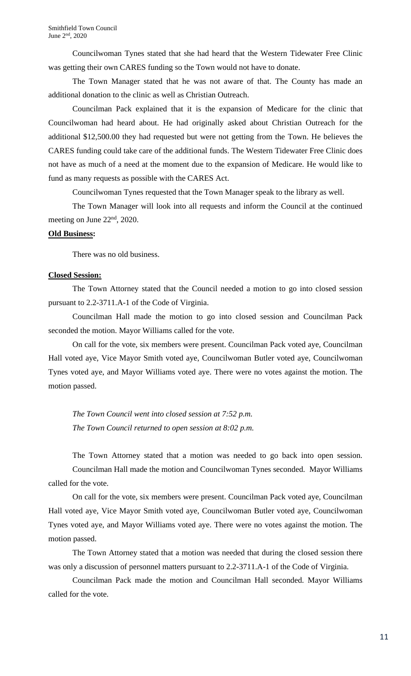Councilwoman Tynes stated that she had heard that the Western Tidewater Free Clinic was getting their own CARES funding so the Town would not have to donate.

The Town Manager stated that he was not aware of that. The County has made an additional donation to the clinic as well as Christian Outreach.

Councilman Pack explained that it is the expansion of Medicare for the clinic that Councilwoman had heard about. He had originally asked about Christian Outreach for the additional \$12,500.00 they had requested but were not getting from the Town. He believes the CARES funding could take care of the additional funds. The Western Tidewater Free Clinic does not have as much of a need at the moment due to the expansion of Medicare. He would like to fund as many requests as possible with the CARES Act.

Councilwoman Tynes requested that the Town Manager speak to the library as well.

The Town Manager will look into all requests and inform the Council at the continued meeting on June 22<sup>nd</sup>, 2020.

### **Old Business:**

There was no old business.

#### **Closed Session:**

The Town Attorney stated that the Council needed a motion to go into closed session pursuant to 2.2-3711.A-1 of the Code of Virginia.

Councilman Hall made the motion to go into closed session and Councilman Pack seconded the motion. Mayor Williams called for the vote.

On call for the vote, six members were present. Councilman Pack voted aye, Councilman Hall voted aye, Vice Mayor Smith voted aye, Councilwoman Butler voted aye, Councilwoman Tynes voted aye, and Mayor Williams voted aye. There were no votes against the motion. The motion passed.

*The Town Council went into closed session at 7:52 p.m. The Town Council returned to open session at 8:02 p.m.*

The Town Attorney stated that a motion was needed to go back into open session. Councilman Hall made the motion and Councilwoman Tynes seconded. Mayor Williams called for the vote.

On call for the vote, six members were present. Councilman Pack voted aye, Councilman Hall voted aye, Vice Mayor Smith voted aye, Councilwoman Butler voted aye, Councilwoman Tynes voted aye, and Mayor Williams voted aye. There were no votes against the motion. The motion passed.

The Town Attorney stated that a motion was needed that during the closed session there was only a discussion of personnel matters pursuant to 2.2-3711.A-1 of the Code of Virginia.

Councilman Pack made the motion and Councilman Hall seconded. Mayor Williams called for the vote.